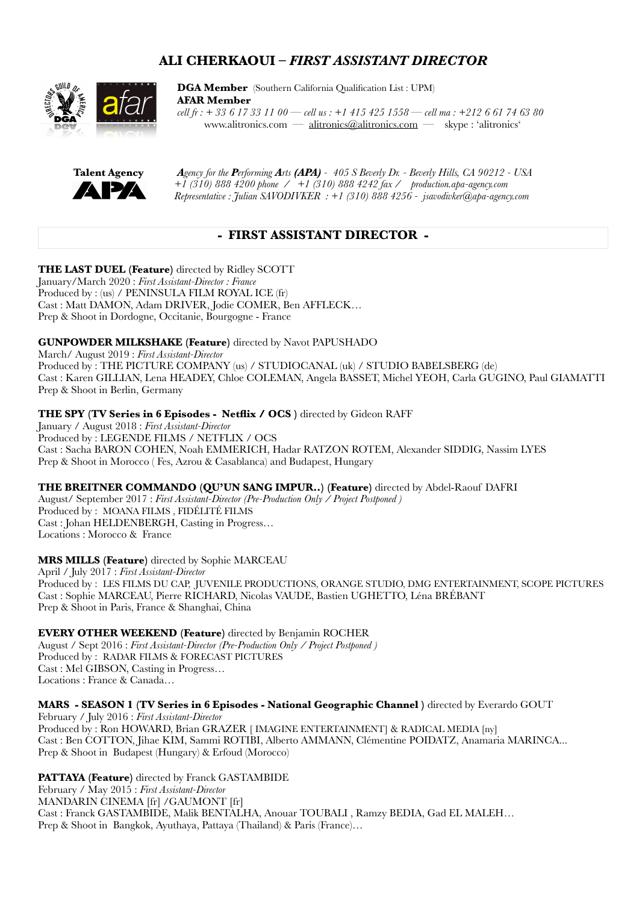# **ALI CHERKAOUI –** *FIRST ASSISTANT DIRECTOR*



 **[DGA Member](http://dga.alitronics.com)** [\(Southern California Qualification List : UPM\)](http://dgaca.alitronics.com) **[AFAR Member](http://afar.alitronics.com)**   *cell fr : + 33 6 17 33 11 00 — cell us : +1 415 425 1558 — cell ma : +212 6 61 74 63 80*  [www.alitronics.com](http://www.alitronics.com) — [alitronics@alitronics.com](mailto:alitronics@alitronics.com) — skype : 'alitronics'



 **[Talent Agency](http://production.apa-agency.com)** *A[gency for the](http://production.apa-agency.com) Performing Arts (APA) - 405 S Beverly Dr. - Beverly Hills, CA 90212 - USA*   $\uparrow$  +1 (310) 888 4200 phone / +1 (310) 888 4242 fax / [production.apa-agency.com](http://production.apa-agency.com)  *Representative : Julian SAVODIVKER : +1 (310) 888 4256 - jsavodivker@apa-agency.com* 

## **- FIRST ASSISTANT DIRECTOR -**

**THE LAST DUEL (Feature)** directed by Ridley SCOTT January/March 2020 : *First Assistant-Director : France* Produced by : (us) / PENINSULA FILM ROYAL ICE (fr) Cast : Matt DAMON, Adam DRIVER, Jodie COMER, Ben AFFLECK… Prep & Shoot in Dordogne, Occitanie, Bourgogne - France

## **GUNPOWDER MILKSHAKE (Feature)** directed by Navot PAPUSHADO

March/ August 2019 : *First Assistant-Director* Produced by : THE PICTURE COMPANY (us) / STUDIOCANAL (uk) / STUDIO BABELSBERG (de) Cast : Karen GILLIAN, Lena HEADEY, Chloe COLEMAN, Angela BASSET, Michel YEOH, Carla GUGINO, Paul GIAMATTI Prep & Shoot in Berlin, Germany

### **THE SPY (TV Series in 6 Episodes - Netflix / OCS )** directed by Gideon RAFF

January / August 2018 : *First Assistant-Director* Produced by : LEGENDE FILMS / NETFLIX / OCS Cast : Sacha BARON COHEN, Noah EMMERICH, Hadar RATZON ROTEM, Alexander SIDDIG, Nassim LYES Prep & Shoot in Morocco ( Fes, Azrou & Casablanca) and Budapest, Hungary

#### **THE BREITNER COMMANDO (QU'UN SANG IMPUR..) (Feature)** directed by Abdel-Raouf DAFRI

August/ September 2017 : *First Assistant-Director (Pre-Production Only / Project Postponed )* Produced by : MOANA FILMS , FIDÉLITÉ FILMS Cast : Johan HELDENBERGH, Casting in Progress… Locations : Morocco & France

#### **MRS MILLS (Feature)** directed by Sophie MARCEAU

April / July 2017 : *First Assistant-Director*  Produced by : LES FILMS DU CAP, JUVENILE PRODUCTIONS, ORANGE STUDIO, DMG ENTERTAINMENT, SCOPE PICTURES Cast : Sophie MARCEAU, Pierre RICHARD, Nicolas VAUDE, Bastien UGHETTO, Léna BRÉBANT Prep & Shoot in Paris, France & Shanghai, China

## **EVERY OTHER WEEKEND (Feature)** directed by Benjamin ROCHER

August / Sept 2016 : *First Assistant-Director (Pre-Production Only / Project Postponed )* Produced by : RADAR FILMS & FORECAST PICTURES Cast : Mel GIBSON, Casting in Progress… Locations : France & Canada…

## **MARS - SEASON 1 (TV Series in 6 Episodes - National Geographic Channel )** directed by Everardo GOUT

February / July 2016 : *First Assistant-Director* Produced by : Ron HOWARD, Brian GRAZER [ IMAGINE ENTERTAINMENT] & RADICAL MEDIA [ny] Cast : Ben COTTON, Jihae KIM, Sammi ROTIBI, Alberto AMMANN, Clémentine POIDATZ, Anamaria MARINCA... Prep & Shoot in Budapest (Hungary) & Erfoud (Morocco)

**PATTAYA (Feature)** directed by Franck GASTAMBIDE February / May 2015 : *First Assistant-Director* MANDARIN CINEMA [fr] /GAUMONT [fr] Cast : Franck GASTAMBIDE, Malik BENTALHA, Anouar TOUBALI , Ramzy BEDIA, Gad EL MALEH… Prep & Shoot in Bangkok, Ayuthaya, Pattaya (Thailand) & Paris (France)…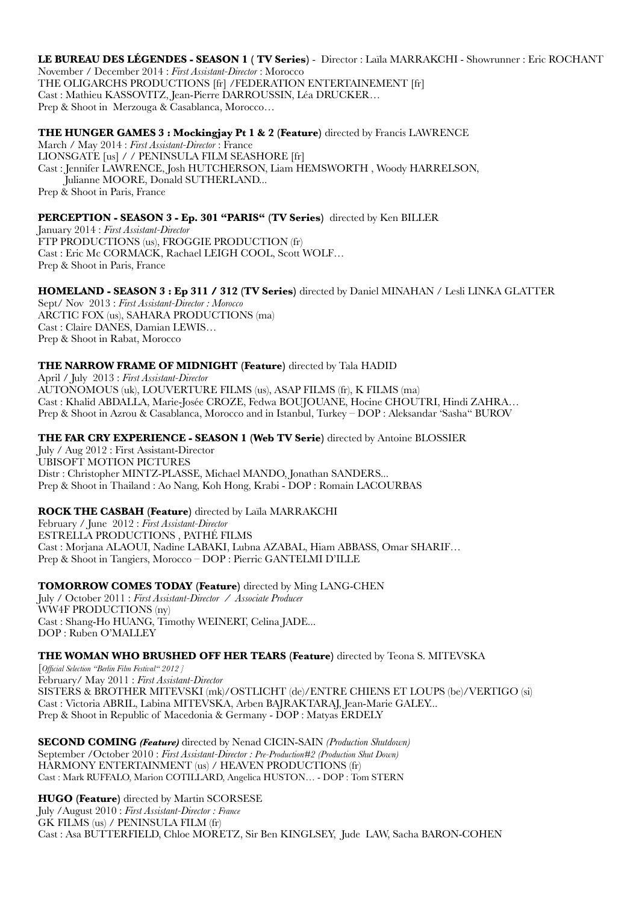**LE BUREAU DES LÉGENDES - SEASON 1 ( TV Series)** - Director : Laïla MARRAKCHI - Showrunner : Eric ROCHANT November / December 2014 : *First Assistant-Director* : Morocco THE OLIGARCHS PRODUCTIONS [fr] /FEDERATION ENTERTAINEMENT [fr] Cast : Mathieu KASSOVITZ, Jean-Pierre DARROUSSIN, Léa DRUCKER… Prep & Shoot in Merzouga & Casablanca, Morocco…

### **THE HUNGER GAMES 3 : Mockingjay Pt 1 & 2 (Feature)** directed by Francis LAWRENCE

March / May 2014 : *First Assistant-Director* : France LIONSGATE [us] / / PENINSULA FILM SEASHORE [fr] Cast : Jennifer LAWRENCE, Josh HUTCHERSON, Liam HEMSWORTH , Woody HARRELSON, Julianne MOORE, Donald SUTHERLAND... Prep & Shoot in Paris, France

### **PERCEPTION - SEASON 3 - Ep. 301 "PARIS" (TV Series)** directed by Ken BILLER

January 2014 : *First Assistant-Director* FTP PRODUCTIONS (us), FROGGIE PRODUCTION (fr) Cast : Eric Mc CORMACK, Rachael LEIGH COOL, Scott WOLF… Prep & Shoot in Paris, France

### **HOMELAND - SEASON 3 : Ep 311 / 312 (TV Series)** directed by Daniel MINAHAN / Lesli LINKA GLATTER

Sept/ Nov 2013 : *First Assistant-Director : Morocco* ARCTIC FOX (us), SAHARA PRODUCTIONS (ma) Cast : Claire DANES, Damian LEWIS… Prep & Shoot in Rabat, Morocco

### **THE NARROW FRAME OF MIDNIGHT (Feature)** directed by Tala HADID

April / July 2013 : *First Assistant-Director* AUTONOMOUS (uk), LOUVERTURE FILMS (us), ASAP FILMS (fr), K FILMS (ma) Cast : Khalid ABDALLA, Marie-Josée CROZE, Fedwa BOUJOUANE, Hocine CHOUTRI, Hindi ZAHRA… Prep & Shoot in Azrou & Casablanca, Morocco and in Istanbul, Turkey – DOP : Aleksandar 'Sasha" BUROV

#### **THE FAR CRY EXPERIENCE - SEASON 1 (Web TV Serie)** directed by Antoine BLOSSIER

July / Aug 2012 : First Assistant-Director UBISOFT MOTION PICTURES Distr : Christopher MINTZ-PLASSE, Michael MANDO, Jonathan SANDERS... Prep & Shoot in Thailand : Ao Nang, Koh Hong, Krabi - DOP : Romain LACOURBAS

#### **ROCK THE CASBAH (Feature)** directed by Laïla MARRAKCHI

February / June 2012 : *First Assistant-Director* ESTRELLA PRODUCTIONS , PATHÉ FILMS Cast : Morjana ALAOUI, Nadine LABAKI, Lubna AZABAL, Hiam ABBASS, Omar SHARIF… Prep & Shoot in Tangiers, Morocco – DOP : Pierric GANTELMI D'ILLE

**TOMORROW COMES TODAY (Feature)** directed by Ming LANG-CHEN July / October 2011 : *First Assistant-Director / Associate Producer* WW4F PRODUCTIONS (ny) Cast : Shang-Ho HUANG, Timothy WEINERT, Celina JADE... DOP : Ruben O'MALLEY

#### **THE WOMAN WHO BRUSHED OFF HER TEARS (Feature)** directed by Teona S. MITEVSKA

[*Official Selection "Berlin Film Festival" 2012 ]* February/ May 2011 : *First Assistant-Director* SISTERS & BROTHER MITEVSKI (mk)/OSTLICHT (de)/ENTRE CHIENS ET LOUPS (be)/VERTIGO (si) Cast : Victoria ABRIL, Labina MITEVSKA, Arben BAJRAKTARAJ, Jean-Marie GALEY... Prep & Shoot in Republic of Macedonia & Germany - DOP : Matyas ERDELY

**SECOND COMING** *(Feature)* directed by Nenad CICIN-SAIN *(Production Shutdown)* September /October 2010 : *First Assistant-Director : Pre-Production#2 (Production Shut Down)* HARMONY ENTERTAINMENT (us) / HEAVEN PRODUCTIONS (fr) Cast : Mark RUFFALO, Marion COTILLARD, Angelica HUSTON… - DOP : Tom STERN

**HUGO (Feature)** directed by Martin SCORSESE July /August 2010 : *First Assistant-Director : France*  GK FILMS (us) / PENINSULA FILM (fr) Cast : Asa BUTTERFIELD, Chloe MORETZ, Sir Ben KINGLSEY, Jude LAW, Sacha BARON-COHEN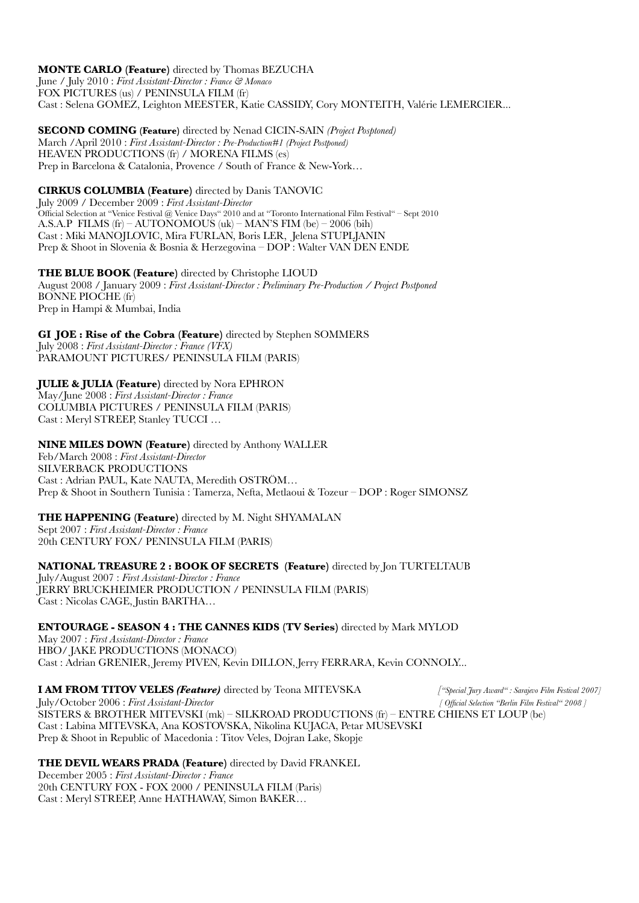**MONTE CARLO (Feature)** directed by Thomas BEZUCHA June / July 2010 : *First Assistant-Director : France & Monaco*

FOX PICTURES (us) / PENINSULA FILM (fr)

Cast : Selena GOMEZ, Leighton MEESTER, Katie CASSIDY, Cory MONTEITH, Valérie LEMERCIER...

**SECOND COMING (Feature)** directed by Nenad CICIN-SAIN *(Project Posptoned)* March /April 2010 : *First Assistant-Director : Pre-Production#1 (Project Postponed)* HEAVEN PRODUCTIONS (fr) / MORENA FILMS (es) Prep in Barcelona & Catalonia, Provence / South of France & New-York…

**CIRKUS COLUMBIA (Feature)** directed by Danis TANOVIC

July 2009 / December 2009 : *First Assistant-Director*  Official Selection at "Venice Festival @ Venice Days" 2010 and at "Toronto International Film Festival" – Sept 2010 A.S.A.P FILMS (fr) – AUTONOMOUS (uk) – MAN'S FIM (be) – 2006 (bih) Cast : Miki MANOJLOVIC, Mira FURLAN, Boris LER, Jelena STUPLJANIN Prep & Shoot in Slovenia & Bosnia & Herzegovina – DOP : Walter VAN DEN ENDE

**THE BLUE BOOK (Feature)** directed by Christophe LIOUD August 2008 / January 2009 : *First Assistant-Director : Preliminary Pre-Production / Project Postponed*  BONNE PIOCHE (fr) Prep in Hampi & Mumbai, India

**GI JOE : Rise of the Cobra (Feature)** directed by Stephen SOMMERS July 2008 : *First Assistant-Director : France (VFX)*  PARAMOUNT PICTURES/ PENINSULA FILM (PARIS)

**JULIE & JULIA (Feature)** directed by Nora EPHRON May/June 2008 : *First Assistant-Director : France* 

COLUMBIA PICTURES / PENINSULA FILM (PARIS) Cast : Meryl STREEP, Stanley TUCCI …

**NINE MILES DOWN (Feature)** directed by Anthony WALLER

Feb/March 2008 : *First Assistant-Director*  SILVERBACK PRODUCTIONS Cast : Adrian PAUL, Kate NAUTA, Meredith OSTRÖM… Prep & Shoot in Southern Tunisia : Tamerza, Nefta, Metlaoui & Tozeur – DOP : Roger SIMONSZ

**THE HAPPENING (Feature)** directed by M. Night SHYAMALAN Sept 2007 : *First Assistant-Director : France* 

20th CENTURY FOX/ PENINSULA FILM (PARIS)

**NATIONAL TREASURE 2 : BOOK OF SECRETS (Feature)** directed by Jon TURTELTAUB

July/August 2007 : *First Assistant-Director : France*  JERRY BRUCKHEIMER PRODUCTION / PENINSULA FILM (PARIS) Cast : Nicolas CAGE, Justin BARTHA…

**ENTOURAGE - SEASON 4 : THE CANNES KIDS (TV Series)** directed by Mark MYLOD May 2007 : *First Assistant-Director : France*  HBO/ JAKE PRODUCTIONS (MONACO) Cast : Adrian GRENIER, Jeremy PIVEN, Kevin DILLON, Jerry FERRARA, Kevin CONNOLY...

**I AM FROM TITOV VELES** *(Feature)* directed by Teona MITEVSKA *["Special Jury Award" : Sarajevo Film Festival 2007]* 

July/October 2006 : *First Assistant-Director [ Official Selection "Berlin Film Festival" 2008 ]*  SISTERS & BROTHER MITEVSKI (mk) – SILKROAD PRODUCTIONS (fr) – ENTRE CHIENS ET LOUP (be) Cast : Labina MITEVSKA, Ana KOSTOVSKA, Nikolina KUJACA, Petar MUSEVSKI Prep & Shoot in Republic of Macedonia : Titov Veles, Dojran Lake, Skopje

**THE DEVIL WEARS PRADA (Feature)** directed by David FRANKEL

December 2005 : *First Assistant-Director : France* 20th CENTURY FOX - FOX 2000 / PENINSULA FILM (Paris) Cast : Meryl STREEP, Anne HATHAWAY, Simon BAKER…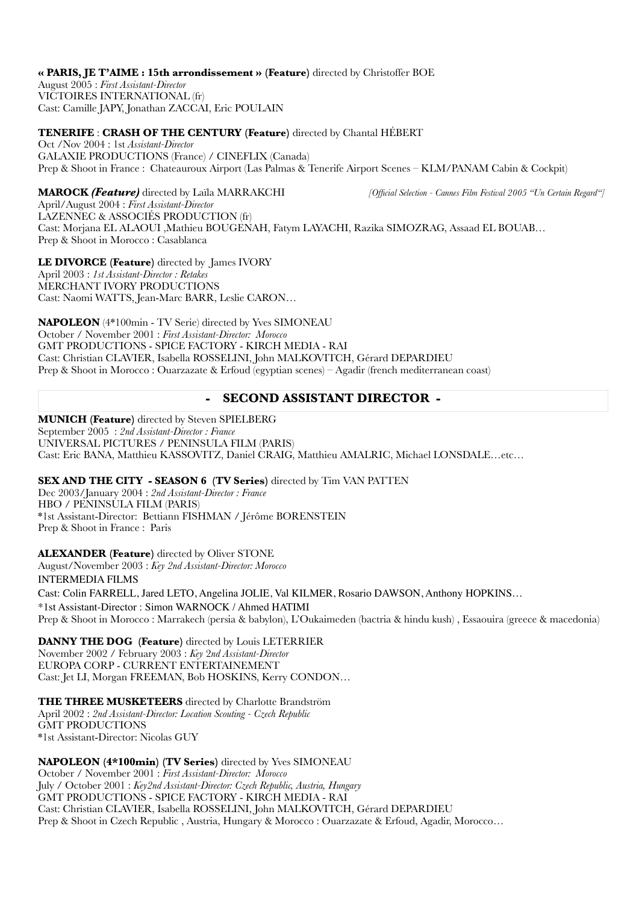#### **« PARIS, JE T'AIME : 15th arrondissement » (Feature)** directed by Christoffer BOE

August 2005 : *First Assistant-Director* VICTOIRES INTERNATIONAL (fr) Cast: Camille JAPY, Jonathan ZACCAI, Eric POULAIN

### **TENERIFE** : **CRASH OF THE CENTURY (Feature)** directed by Chantal HÉBERT

Oct /Nov 2004 : 1st *Assistant-Director* GALAXIE PRODUCTIONS (France) / CINEFLIX (Canada) Prep & Shoot in France : Chateauroux Airport (Las Palmas & Tenerife Airport Scenes – KLM/PANAM Cabin & Cockpit)

**MAROCK** *(Feature)* directed by Laïla MARRAKCHI *[Official Selection - Cannes Film Festival 2005 "Un Certain Regard"]* April/August 2004 : *First Assistant-Director*  LAZENNEC & ASSOCIÉS PRODUCTION (fr) Cast: Morjana EL ALAOUI ,Mathieu BOUGENAH, Fatym LAYACHI, Razika SIMOZRAG, Assaad EL BOUAB… Prep & Shoot in Morocco : Casablanca

**LE DIVORCE (Feature)** directed by James IVORY April 2003 : *1st Assistant-Director : Retakes* MERCHANT IVORY PRODUCTIONS Cast: Naomi WATTS, Jean-Marc BARR, Leslie CARON…

**NAPOLEON** (4\*100min - TV Serie) directed by Yves SIMONEAU October / November 2001 : *First Assistant-Director: Morocco* GMT PRODUCTIONS - SPICE FACTORY - KIRCH MEDIA - RAI Cast: Christian CLAVIER, Isabella ROSSELINI, John MALKOVITCH, Gérard DEPARDIEU Prep & Shoot in Morocco : Ouarzazate & Erfoud (egyptian scenes) – Agadir (french mediterranean coast)

## **- SECOND ASSISTANT DIRECTOR -**

**MUNICH (Feature)** directed by Steven SPIELBERG September 2005 : *2nd Assistant-Director : France* UNIVERSAL PICTURES / PENINSULA FILM (PARIS) Cast: Eric BANA, Matthieu KASSOVITZ, Daniel CRAIG, Matthieu AMALRIC, Michael LONSDALE…etc…

## **SEX AND THE CITY - SEASON 6 (TV Series)** directed by Tim VAN PATTEN

Dec 2003/January 2004 : *2nd Assistant-Director : France* HBO / PENINSULA FILM (PARIS) \*1st Assistant-Director: Bettiann FISHMAN / Jérôme BORENSTEIN Prep & Shoot in France : Paris

**ALEXANDER (Feature)** directed by Oliver STONE

August/November 2003 : *Key 2nd Assistant-Director: Morocco*  INTERMEDIA FILMS Cast: Colin FARRELL, Jared LETO, Angelina JOLIE, Val KILMER, Rosario DAWSON, Anthony HOPKINS… \*1st Assistant-Director : Simon WARNOCK / Ahmed HATIMI Prep & Shoot in Morocco : Marrakech (persia & babylon), L'Oukaimeden (bactria & hindu kush) , Essaouira (greece & macedonia)

**DANNY THE DOG (Feature)** directed by Louis LETERRIER November 2002 / February 2003 : *Key* 2*nd Assistant-Director*  EUROPA CORP - CURRENT ENTERTAINEMENT Cast: Jet LI, Morgan FREEMAN, Bob HOSKINS, Kerry CONDON…

**THE THREE MUSKETEERS** directed by Charlotte Brandström April 2002 : *2nd Assistant-Director: Location Scouting - Czech Republic* GMT PRODUCTIONS \*1st Assistant-Director: Nicolas GUY

**NAPOLEON (4\*100min) (TV Series)** directed by Yves SIMONEAU

October / November 2001 : *First Assistant-Director: Morocco* July / October 2001 : *Key2nd Assistant-Director: Czech Republic, Austria, Hungary* GMT PRODUCTIONS - SPICE FACTORY - KIRCH MEDIA - RAI Cast: Christian CLAVIER, Isabella ROSSELINI, John MALKOVITCH, Gérard DEPARDIEU Prep & Shoot in Czech Republic , Austria, Hungary & Morocco : Ouarzazate & Erfoud, Agadir, Morocco…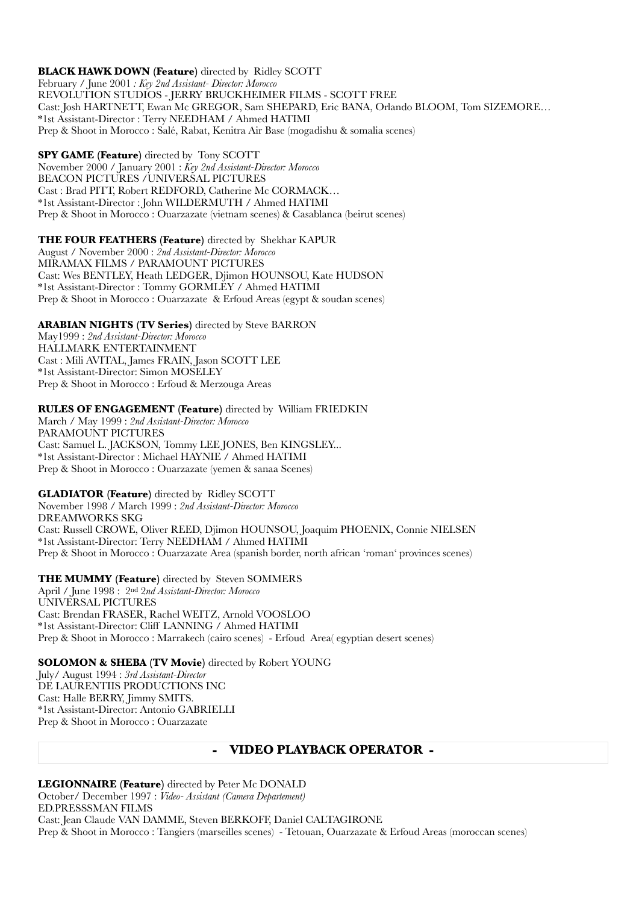**BLACK HAWK DOWN (Feature)** directed by Ridley SCOTT February / June 2001 *: Key 2nd Assistant- Director: Morocco* REVOLUTION STUDIOS - JERRY BRUCKHEIMER FILMS - SCOTT FREE Cast: Josh HARTNETT, Ewan Mc GREGOR, Sam SHEPARD, Eric BANA, Orlando BLOOM, Tom SIZEMORE… \*1st Assistant-Director : Terry NEEDHAM / Ahmed HATIMI Prep & Shoot in Morocco : Salé, Rabat, Kenitra Air Base (mogadishu & somalia scenes)

**SPY GAME (Feature)** directed by Tony SCOTT November 2000 / January 2001 : *Key 2nd Assistant-Director: Morocco* BEACON PICTURES /UNIVERSAL PICTURES Cast : Brad PITT, Robert REDFORD, Catherine Mc CORMACK… \*1st Assistant-Director : John WILDERMUTH / Ahmed HATIMI Prep & Shoot in Morocco : Ouarzazate (vietnam scenes) & Casablanca (beirut scenes)

## **THE FOUR FEATHERS (Feature)** directed by Shekhar KAPUR

August / November 2000 : *2nd Assistant-Director: Morocco* MIRAMAX FILMS / PARAMOUNT PICTURES Cast: Wes BENTLEY, Heath LEDGER, Djimon HOUNSOU, Kate HUDSON \*1st Assistant-Director : Tommy GORMLEY / Ahmed HATIMI Prep & Shoot in Morocco : Ouarzazate & Erfoud Areas (egypt & soudan scenes)

### **ARABIAN NIGHTS (TV Series)** directed by Steve BARRON

May1999 : *2nd Assistant-Director: Morocco* HALLMARK ENTERTAINMENT Cast : Mili AVITAL, James FRAIN, Jason SCOTT LEE \*1st Assistant-Director: Simon MOSELEY Prep & Shoot in Morocco : Erfoud & Merzouga Areas

#### **RULES OF ENGAGEMENT (Feature)** directed by William FRIEDKIN

March / May 1999 : *2nd Assistant-Director: Morocco* PARAMOUNT PICTURES Cast: Samuel L. JACKSON, Tommy LEE JONES, Ben KINGSLEY... \*1st Assistant-Director : Michael HAYNIE / Ahmed HATIMI Prep & Shoot in Morocco : Ouarzazate (yemen & sanaa Scenes)

**GLADIATOR (Feature)** directed by Ridley SCOTT

November 1998 / March 1999 : *2nd Assistant-Director: Morocco* DREAMWORKS SKG Cast: Russell CROWE, Oliver REED, Djimon HOUNSOU, Joaquim PHOENIX, Connie NIELSEN \*1st Assistant-Director: Terry NEEDHAM / Ahmed HATIMI Prep & Shoot in Morocco : Ouarzazate Area (spanish border, north african 'roman' provinces scenes)

#### **THE MUMMY (Feature)** directed by Steven SOMMERS

April / June 1998 : 2nd 2*nd Assistant-Director: Morocco* UNIVERSAL PICTURES Cast: Brendan FRASER, Rachel WEITZ, Arnold VOOSLOO \*1st Assistant-Director: Cliff LANNING / Ahmed HATIMI Prep & Shoot in Morocco : Marrakech (cairo scenes) - Erfoud Area( egyptian desert scenes)

### **SOLOMON & SHEBA (TV Movie)** directed by Robert YOUNG

July/ August 1994 : *3rd Assistant-Director* DE LAURENTIIS PRODUCTIONS INC Cast: Halle BERRY, Jimmy SMITS. \*1st Assistant-Director: Antonio GABRIELLI Prep & Shoot in Morocco : Ouarzazate

## **- VIDEO PLAYBACK OPERATOR -**

**LEGIONNAIRE (Feature)** directed by Peter Mc DONALD October/ December 1997 : *Video- Assistant (Camera Departement)* ED.PRESSSMAN FILMS Cast: Jean Claude VAN DAMME, Steven BERKOFF, Daniel CALTAGIRONE Prep & Shoot in Morocco : Tangiers (marseilles scenes) - Tetouan, Ouarzazate & Erfoud Areas (moroccan scenes)